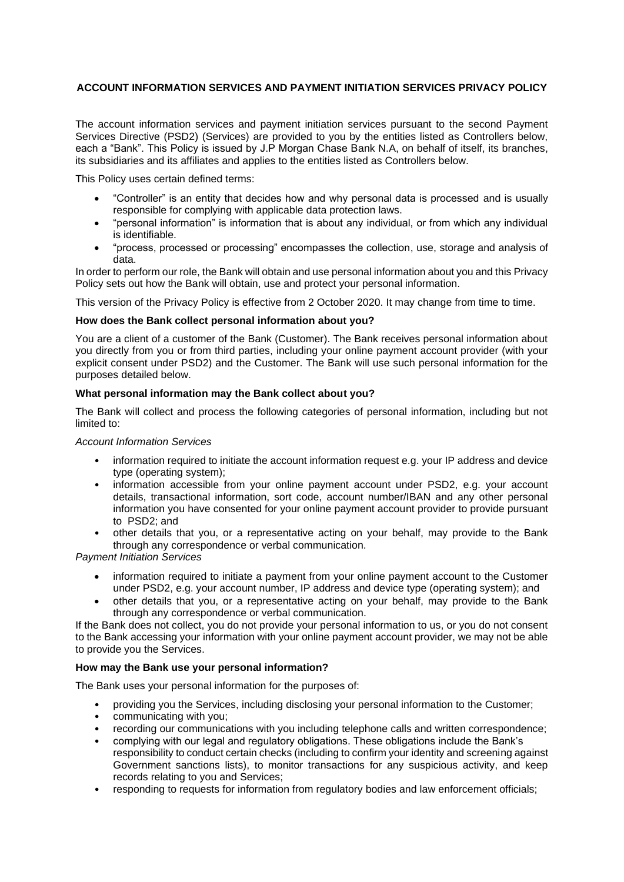# **ACCOUNT INFORMATION SERVICES AND PAYMENT INITIATION SERVICES PRIVACY POLICY**

The account information services and payment initiation services pursuant to the second Payment Services Directive (PSD2) (Services) are provided to you by the entities listed as Controllers below, each a "Bank". This Policy is issued by J.P Morgan Chase Bank N.A, on behalf of itself, its branches, its subsidiaries and its affiliates and applies to the entities listed as Controllers below.

This Policy uses certain defined terms:

- "Controller" is an entity that decides how and why personal data is processed and is usually responsible for complying with applicable data protection laws.
- "personal information" is information that is about any individual, or from which any individual is identifiable.
- "process, processed or processing" encompasses the collection, use, storage and analysis of data.

In order to perform our role, the Bank will obtain and use personal information about you and this Privacy Policy sets out how the Bank will obtain, use and protect your personal information.

This version of the Privacy Policy is effective from 2 October 2020. It may change from time to time.

#### **How does the Bank collect personal information about you?**

You are a client of a customer of the Bank (Customer). The Bank receives personal information about you directly from you or from third parties, including your online payment account provider (with your explicit consent under PSD2) and the Customer. The Bank will use such personal information for the purposes detailed below.

#### **What personal information may the Bank collect about you?**

The Bank will collect and process the following categories of personal information, including but not limited to:

### *Account Information Services*

- information required to initiate the account information request e.g. your IP address and device type (operating system);
- information accessible from your online payment account under PSD2, e.g. your account details, transactional information, sort code, account number/IBAN and any other personal information you have consented for your online payment account provider to provide pursuant to PSD2; and
- other details that you, or a representative acting on your behalf, may provide to the Bank through any correspondence or verbal communication.

*Payment Initiation Services*

- information required to initiate a payment from your online payment account to the Customer under PSD2, e.g. your account number, IP address and device type (operating system); and
- other details that you, or a representative acting on your behalf, may provide to the Bank through any correspondence or verbal communication.

If the Bank does not collect, you do not provide your personal information to us, or you do not consent to the Bank accessing your information with your online payment account provider, we may not be able to provide you the Services.

## **How may the Bank use your personal information?**

The Bank uses your personal information for the purposes of:

- providing you the Services, including disclosing your personal information to the Customer;
- communicating with you;
- recording our communications with you including telephone calls and written correspondence;
- complying with our legal and regulatory obligations. These obligations include the Bank's responsibility to conduct certain checks (including to confirm your identity and screening against Government sanctions lists), to monitor transactions for any suspicious activity, and keep records relating to you and Services;
- responding to requests for information from regulatory bodies and law enforcement officials;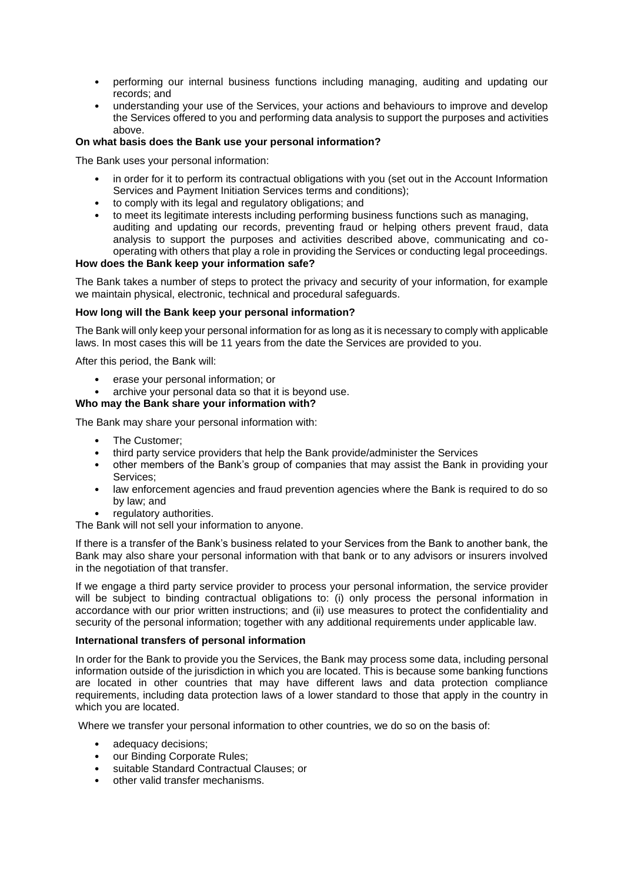- performing our internal business functions including managing, auditing and updating our records; and
- understanding your use of the Services, your actions and behaviours to improve and develop the Services offered to you and performing data analysis to support the purposes and activities above.

### **On what basis does the Bank use your personal information?**

The Bank uses your personal information:

- in order for it to perform its contractual obligations with you (set out in the Account Information Services and Payment Initiation Services terms and conditions);
- to comply with its legal and regulatory obligations; and
- to meet its legitimate interests including performing business functions such as managing, auditing and updating our records, preventing fraud or helping others prevent fraud, data analysis to support the purposes and activities described above, communicating and cooperating with others that play a role in providing the Services or conducting legal proceedings.

### **How does the Bank keep your information safe?**

The Bank takes a number of steps to protect the privacy and security of your information, for example we maintain physical, electronic, technical and procedural safeguards.

#### **How long will the Bank keep your personal information?**

The Bank will only keep your personal information for as long as it is necessary to comply with applicable laws. In most cases this will be 11 years from the date the Services are provided to you.

After this period, the Bank will:

- erase your personal information; or
- archive your personal data so that it is beyond use.

### **Who may the Bank share your information with?**

The Bank may share your personal information with:

- The Customer:
- third party service providers that help the Bank provide/administer the Services
- other members of the Bank's group of companies that may assist the Bank in providing your Services;
- law enforcement agencies and fraud prevention agencies where the Bank is required to do so by law; and
- regulatory authorities.

The Bank will not sell your information to anyone.

If there is a transfer of the Bank's business related to your Services from the Bank to another bank, the Bank may also share your personal information with that bank or to any advisors or insurers involved in the negotiation of that transfer.

If we engage a third party service provider to process your personal information, the service provider will be subject to binding contractual obligations to: (i) only process the personal information in accordance with our prior written instructions; and (ii) use measures to protect the confidentiality and security of the personal information; together with any additional requirements under applicable law.

#### **International transfers of personal information**

In order for the Bank to provide you the Services, the Bank may process some data, including personal information outside of the jurisdiction in which you are located. This is because some banking functions are located in other countries that may have different laws and data protection compliance requirements, including data protection laws of a lower standard to those that apply in the country in which you are located.

Where we transfer your personal information to other countries, we do so on the basis of:

- adequacy decisions:
- our Binding Corporate Rules;
- suitable Standard Contractual Clauses; or
- other valid transfer mechanisms.